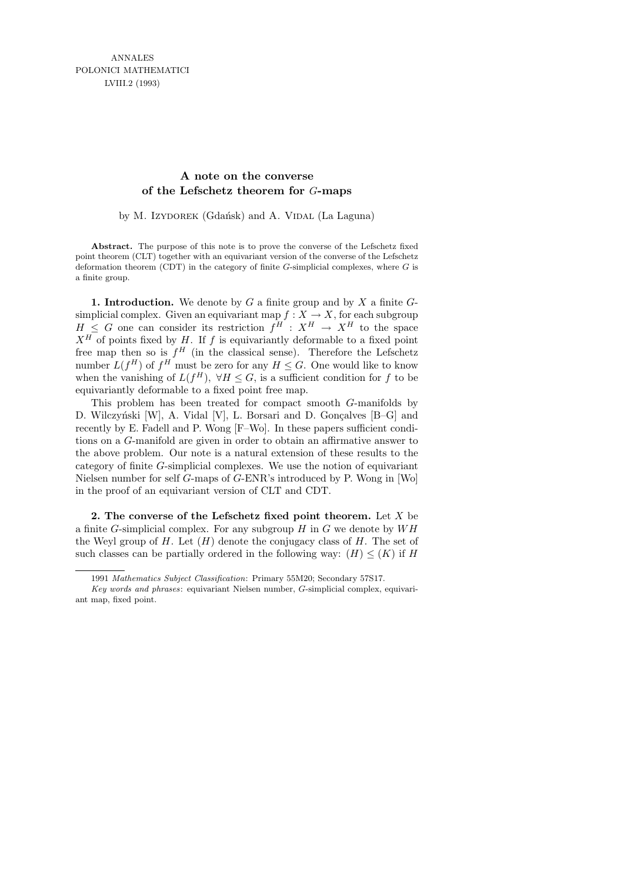## **A note on the converse of the Lefschetz theorem for** G**-maps**

by M. Izydorek (Gdańsk) and A. VIDAL (La Laguna)

**Abstract.** The purpose of this note is to prove the converse of the Lefschetz fixed point theorem (CLT) together with an equivariant version of the converse of the Lefschetz deformation theorem (CDT) in the category of finite *G*-simplicial complexes, where *G* is a finite group.

**1. Introduction.** We denote by  $G$  a finite group and by  $X$  a finite  $G$ simplicial complex. Given an equivariant map  $f: X \to X$ , for each subgroup  $H \leq G$  one can consider its restriction  $f^H : X^H \to X^H$  to the space  $X^H$  of points fixed by H. If f is equivariantly deformable to a fixed point free map then so is  $f^H$  (in the classical sense). Therefore the Lefschetz number  $L(f^H)$  of  $f^H$  must be zero for any  $H \leq G$ . One would like to know when the vanishing of  $L(f^H)$ ,  $\forall H \leq G$ , is a sufficient condition for f to be equivariantly deformable to a fixed point free map.

This problem has been treated for compact smooth G-manifolds by D. Wilczyński [W], A. Vidal [V], L. Borsari and D. Gonçalves [B–G] and recently by E. Fadell and P. Wong [F–Wo]. In these papers sufficient conditions on a G-manifold are given in order to obtain an affirmative answer to the above problem. Our note is a natural extension of these results to the category of finite G-simplicial complexes. We use the notion of equivariant Nielsen number for self G-maps of G-ENR's introduced by P. Wong in [Wo] in the proof of an equivariant version of CLT and CDT.

2. The converse of the Lefschetz fixed point theorem. Let  $X$  be a finite  $G$ -simplicial complex. For any subgroup  $H$  in  $G$  we denote by  $WH$ the Weyl group of H. Let  $(H)$  denote the conjugacy class of H. The set of such classes can be partially ordered in the following way:  $(H) \leq (K)$  if H

<sup>1991</sup> *Mathematics Subject Classification*: Primary 55M20; Secondary 57S17.

*Key words and phrases*: equivariant Nielsen number, *G*-simplicial complex, equivariant map, fixed point.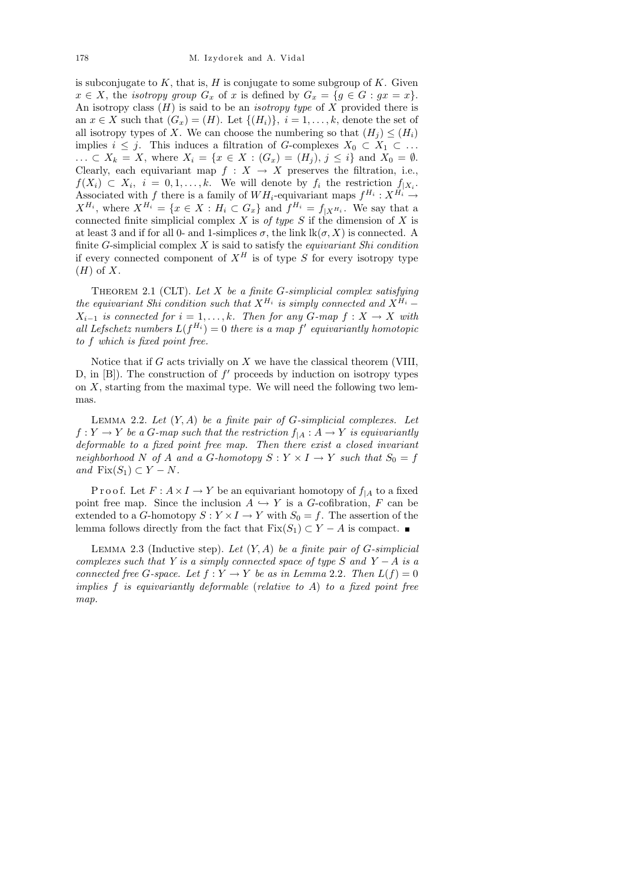is subconjugate to  $K$ , that is,  $H$  is conjugate to some subgroup of  $K$ . Given  $x \in X$ , the *isotropy group*  $G_x$  of x is defined by  $G_x = \{g \in G : gx = x\}.$ An isotropy class  $(H)$  is said to be an *isotropy type* of X provided there is an  $x \in X$  such that  $(G_x) = (H)$ . Let  $\{(H_i)\}\$ ,  $i = 1, \ldots, k$ , denote the set of all isotropy types of X. We can choose the numbering so that  $(H_i) \leq (H_i)$ implies  $i \leq j$ . This induces a filtration of G-complexes  $X_0 \subset X_1 \subset \ldots$ ...  $\subset X_k = X$ , where  $X_i = \{x \in X : (G_x) = (H_j), j \leq i\}$  and  $X_0 = \emptyset$ . Clearly, each equivariant map  $f : X \to X$  preserves the filtration, i.e.,  $f(X_i) \subset X_i, i = 0, 1, \ldots, k.$  We will denote by  $f_i$  the restriction  $f_{|X_i}$ . Associated with f there is a family of  $WH_i$ -equivariant maps  $f^{H_i}: X^{H_i} \to$  $X^{H_i}$ , where  $X^{H_i} = \{x \in X : H_i \subset G_x\}$  and  $f^{H_i} = f_{|X^{H_i}}$ . We say that a connected finite simplicial complex  $X$  is of type  $S$  if the dimension of  $X$  is at least 3 and if for all 0- and 1-simplices  $\sigma$ , the link  $lk(\sigma, X)$  is connected. A finite G-simplicial complex  $X$  is said to satisfy the *equivariant Shi condition* if every connected component of  $X^H$  is of type S for every isotropy type  $(H)$  of X.

THEOREM 2.1 (CLT). Let X be a finite G-simplicial complex satisfying the equivariant Shi condition such that  $X^{H_i}$  is simply connected and  $X^{H_i}$  –  $X_{i-1}$  is connected for  $i = 1, \ldots, k$ . Then for any G-map  $f : X \to X$  with all Lefschetz numbers  $L(f^{H_i}) = 0$  there is a map  $f'$  equivariantly homotopic to f which is fixed point free.

Notice that if  $G$  acts trivially on  $X$  we have the classical theorem (VIII, D, in  $[B]$ ). The construction of  $f'$  proceeds by induction on isotropy types on  $X$ , starting from the maximal type. We will need the following two lemmas.

LEMMA 2.2. Let  $(Y, A)$  be a finite pair of G-simplicial complexes. Let  $f: Y \to Y$  be a G-map such that the restriction  $f_{|A}: A \to Y$  is equivariantly deformable to a fixed point free map. Then there exist a closed invariant neighborhood N of A and a G-homotopy  $S: Y \times I \rightarrow Y$  such that  $S_0 = f$ and  $Fix(S_1) \subset Y - N$ .

P r o o f. Let  $F: A \times I \to Y$  be an equivariant homotopy of  $f_{|A}$  to a fixed point free map. Since the inclusion  $A \hookrightarrow Y$  is a G-cofibration, F can be extended to a G-homotopy  $S: Y \times I \to Y$  with  $S_0 = f$ . The assertion of the lemma follows directly from the fact that  $Fix(S_1) \subset Y - A$  is compact.  $\blacksquare$ 

LEMMA 2.3 (Inductive step). Let  $(Y, A)$  be a finite pair of G-simplicial complexes such that Y is a simply connected space of type S and Y − A is a connected free G-space. Let  $f: Y \to Y$  be as in Lemma 2.2. Then  $L(f) = 0$ implies  $f$  is equivariantly deformable (relative to  $A$ ) to a fixed point free map.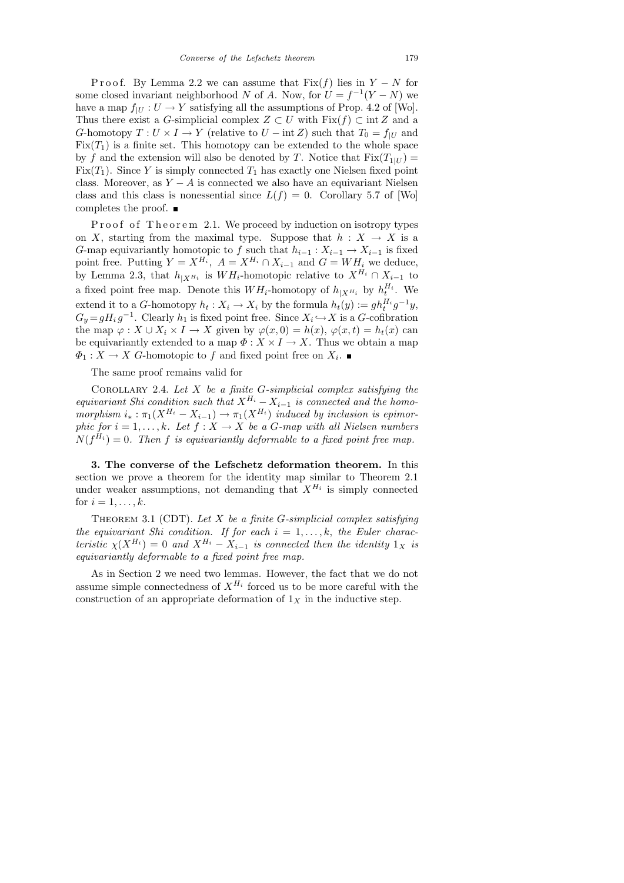P r o o f. By Lemma 2.2 we can assume that  $Fix(f)$  lies in  $Y - N$  for some closed invariant neighborhood N of A. Now, for  $U = f^{-1}(Y - N)$  we have a map  $f_{|U}: U \to Y$  satisfying all the assumptions of Prop. 4.2 of [Wo]. Thus there exist a G-simplicial complex  $Z \subset U$  with  $Fix(f) \subset \text{int } Z$  and a G-homotopy  $T: U \times I \to Y$  (relative to  $U - \text{int } Z$ ) such that  $T_0 = f_{|U|}$  and  $Fix(T_1)$  is a finite set. This homotopy can be extended to the whole space by f and the extension will also be denoted by T. Notice that  $Fix(T_{1|U}) =$ Fix $(T_1)$ . Since Y is simply connected  $T_1$  has exactly one Nielsen fixed point class. Moreover, as  $Y - A$  is connected we also have an equivariant Nielsen class and this class is nonessential since  $L(f) = 0$ . Corollary 5.7 of [Wo] completes the proof.

P roof of Theorem 2.1. We proceed by induction on isotropy types on X, starting from the maximal type. Suppose that  $h : X \to X$  is a G-map equivariantly homotopic to f such that  $h_{i-1}: X_{i-1} \to X_{i-1}$  is fixed point free. Putting  $Y = X^{H_i}$ ,  $A = X^{H_i} \cap X_{i-1}$  and  $G = WH_i$  we deduce, by Lemma 2.3, that  $h_{|X^{H_i}}$  is  $WH_i$ -homotopic relative to  $X^{H_i} \cap X_{i-1}$  to a fixed point free map. Denote this  $WH_i$ -homotopy of  $h_{|X^{H_i}}$  by  $h_t^{H_i}$ . We extend it to a G-homotopy  $h_t: X_i \to X_i$  by the formula  $h_t(y) := gh_t^{H_i} g^{-1}y$ ,  $G_y = gH_i g^{-1}$ . Clearly  $h_1$  is fixed point free. Since  $X_i \hookrightarrow X$  is a G-cofibration the map  $\varphi: X \cup X_i \times I \to X$  given by  $\varphi(x, 0) = h(x), \varphi(x, t) = h_t(x)$  can be equivariantly extended to a map  $\Phi: X \times I \to X$ . Thus we obtain a map  $\Phi_1: X \to X$  G-homotopic to f and fixed point free on  $X_i$ .

The same proof remains valid for

COROLLARY 2.4. Let  $X$  be a finite G-simplicial complex satisfying the equivariant Shi condition such that  $X^{H_i} - X_{i-1}$  is connected and the homomorphism  $i_* : \pi_1(X^{H_i} - X_{i-1}) \to \pi_1(X^{H_i})$  induced by inclusion is epimorphic for  $i = 1, ..., k$ . Let  $f : X \to X$  be a G-map with all Nielsen numbers  $N(f^{H_i}) = 0$ . Then f is equivariantly deformable to a fixed point free map.

3. The converse of the Lefschetz deformation theorem. In this section we prove a theorem for the identity map similar to Theorem 2.1 under weaker assumptions, not demanding that  $X^{H_i}$  is simply connected for  $i = 1, \ldots, k$ .

THEOREM 3.1 (CDT). Let  $X$  be a finite G-simplicial complex satisfying the equivariant Shi condition. If for each  $i = 1, \ldots, k$ , the Euler characteristic  $\chi(X^{H_i}) = 0$  and  $X^{H_i} - X_{i-1}$  is connected then the identity  $1_X$  is equivariantly deformable to a fixed point free map.

As in Section 2 we need two lemmas. However, the fact that we do not assume simple connectedness of  $X^{H_i}$  forced us to be more careful with the construction of an appropriate deformation of  $1<sub>X</sub>$  in the inductive step.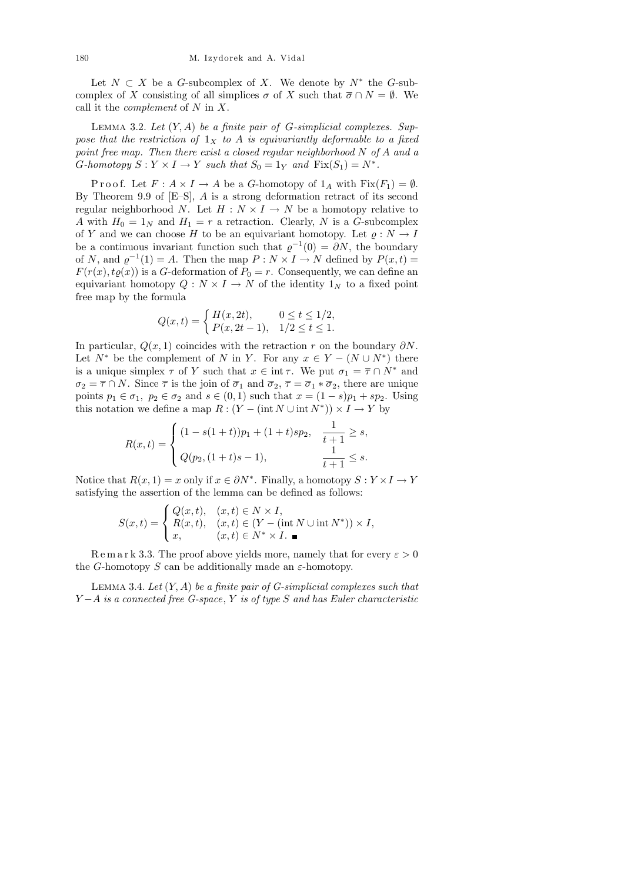Let  $N \subset X$  be a G-subcomplex of X. We denote by  $N^*$  the G-subcomplex of X consisting of all simplices  $\sigma$  of X such that  $\overline{\sigma} \cap N = \emptyset$ . We call it the *complement* of  $N$  in  $X$ .

LEMMA 3.2. Let  $(Y, A)$  be a finite pair of G-simplicial complexes. Suppose that the restriction of  $1_X$  to A is equivariantly deformable to a fixed point free map. Then there exist a closed regular neighborhood N of A and a G-homotopy  $S: Y \times I \to Y$  such that  $S_0 = 1_Y$  and  $Fix(S_1) = N^*$ .

P r o o f. Let  $F: A \times I \to A$  be a G-homotopy of  $1_A$  with  $Fix(F_1) = \emptyset$ . By Theorem 9.9 of [E–S], A is a strong deformation retract of its second regular neighborhood N. Let  $H : N \times I \to N$  be a homotopy relative to A with  $H_0 = 1_N$  and  $H_1 = r$  a retraction. Clearly, N is a G-subcomplex of Y and we can choose H to be an equivariant homotopy. Let  $\rho: N \to I$ be a continuous invariant function such that  $\varrho^{-1}(0) = \partial N$ , the boundary of N, and  $\varrho^{-1}(1) = A$ . Then the map  $P: N \times I \to N$  defined by  $P(x,t) =$  $F(r(x), t\varrho(x))$  is a G-deformation of  $P_0 = r$ . Consequently, we can define an equivariant homotopy  $Q: N \times I \to N$  of the identity  $1_N$  to a fixed point free map by the formula

$$
Q(x,t) = \begin{cases} H(x,2t), & 0 \le t \le 1/2, \\ P(x,2t-1), & 1/2 \le t \le 1. \end{cases}
$$

In particular,  $Q(x, 1)$  coincides with the retraction r on the boundary  $\partial N$ . Let  $N^*$  be the complement of N in Y. For any  $x \in Y - (N \cup N^*)$  there is a unique simplex  $\tau$  of Y such that  $x \in \text{int } \tau$ . We put  $\sigma_1 = \overline{\tau} \cap N^*$  and  $\sigma_2 = \overline{\tau} \cap N$ . Since  $\overline{\tau}$  is the join of  $\overline{\sigma}_1$  and  $\overline{\sigma}_2$ ,  $\overline{\tau} = \overline{\sigma}_1 * \overline{\sigma}_2$ , there are unique points  $p_1 \in \sigma_1$ ,  $p_2 \in \sigma_2$  and  $s \in (0,1)$  such that  $x = (1-s)p_1 + sp_2$ . Using this notation we define a map  $R: (Y - (int N \cup int N^*)) \times I \rightarrow Y$  by

$$
R(x,t) = \begin{cases} (1 - s(1+t))p_1 + (1+t)sp_2, & \frac{1}{t+1} \ge s, \\ Q(p_2, (1+t)s - 1), & \frac{1}{t+1} \le s. \end{cases}
$$

Notice that  $R(x, 1) = x$  only if  $x \in \partial N^*$ . Finally, a homotopy  $S: Y \times I \to Y$ satisfying the assertion of the lemma can be defined as follows:

$$
S(x,t) = \begin{cases} Q(x,t), & (x,t) \in N \times I, \\ R(x,t), & (x,t) \in (Y - (\text{int } N \cup \text{int } N^*)) \times I, \\ x, & (x,t) \in N^* \times I. \end{cases}
$$

Remark 3.3. The proof above yields more, namely that for every  $\varepsilon > 0$ the G-homotopy S can be additionally made an  $\varepsilon$ -homotopy.

LEMMA 3.4. Let  $(Y, A)$  be a finite pair of G-simplicial complexes such that  $Y - A$  is a connected free G-space, Y is of type S and has Euler characteristic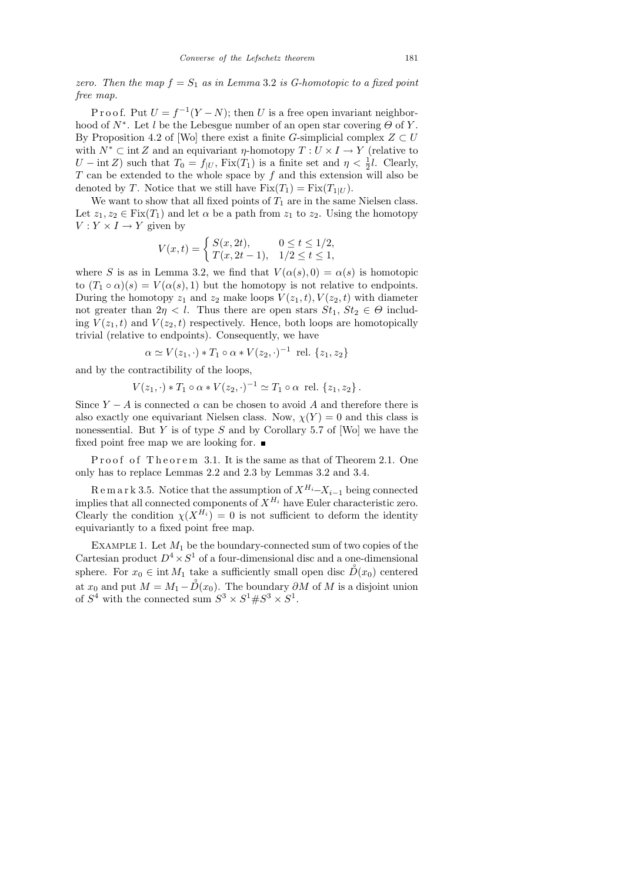zero. Then the map  $f = S_1$  as in Lemma 3.2 is G-homotopic to a fixed point free map.

P r o o f. Put  $U = f^{-1}(Y - N)$ ; then U is a free open invariant neighborhood of  $N^*$ . Let l be the Lebesgue number of an open star covering  $\Theta$  of Y. By Proposition 4.2 of [Wo] there exist a finite G-simplicial complex  $Z \subset U$ with  $N^* \subset \text{int } Z$  and an equivariant  $\eta$ -homotopy  $T: U \times I \to Y$  (relative to  $U - \text{int } Z$ ) such that  $T_0 = f_{|U}$ ,  $\text{Fix}(T_1)$  is a finite set and  $\eta < \frac{1}{2}l$ . Clearly,  $T$  can be extended to the whole space by  $f$  and this extension will also be denoted by T. Notice that we still have  $Fix(T_1) = Fix(T_{1|U})$ .

We want to show that all fixed points of  $T_1$  are in the same Nielsen class. Let  $z_1, z_2 \in \text{Fix}(T_1)$  and let  $\alpha$  be a path from  $z_1$  to  $z_2$ . Using the homotopy  $V: Y \times I \rightarrow Y$  given by

$$
V(x,t) = \begin{cases} S(x, 2t), & 0 \le t \le 1/2, \\ T(x, 2t - 1), & 1/2 \le t \le 1, \end{cases}
$$

where S is as in Lemma 3.2, we find that  $V(\alpha(s), 0) = \alpha(s)$  is homotopic to  $(T_1 \circ \alpha)(s) = V(\alpha(s), 1)$  but the homotopy is not relative to endpoints. During the homotopy  $z_1$  and  $z_2$  make loops  $V(z_1, t)$ ,  $V(z_2, t)$  with diameter not greater than  $2\eta < l$ . Thus there are open stars  $St_1, St_2 \in \Theta$  including  $V(z_1, t)$  and  $V(z_2, t)$  respectively. Hence, both loops are homotopically trivial (relative to endpoints). Consequently, we have

$$
\alpha \simeq V(z_1, \cdot) * T_1 \circ \alpha * V(z_2, \cdot)^{-1}
$$
rel.  $\{z_1, z_2\}$ 

and by the contractibility of the loops,

$$
V(z_1, \cdot) * T_1 \circ \alpha * V(z_2, \cdot)^{-1} \simeq T_1 \circ \alpha \text{ rel. } \{z_1, z_2\}.
$$

Since  $Y - A$  is connected  $\alpha$  can be chosen to avoid A and therefore there is also exactly one equivariant Nielsen class. Now,  $\chi(Y) = 0$  and this class is nonessential. But  $Y$  is of type  $S$  and by Corollary 5.7 of [Wo] we have the fixed point free map we are looking for.  $\blacksquare$ 

Proof of Theorem 3.1. It is the same as that of Theorem 2.1. One only has to replace Lemmas 2.2 and 2.3 by Lemmas 3.2 and 3.4.

R e m a r k 3.5. Notice that the assumption of  $X^{H_i}$ – $X_{i-1}$  being connected implies that all connected components of  $X^{H_i}$  have Euler characteristic zero. Clearly the condition  $\chi(X^{H_i}) = 0$  is not sufficient to deform the identity equivariantly to a fixed point free map.

EXAMPLE 1. Let  $M_1$  be the boundary-connected sum of two copies of the Cartesian product  $D^4 \times S^1$  of a four-dimensional disc and a one-dimensional sphere. For  $x_0 \in \text{int } M_1$  take a sufficiently small open disc  $\mathring{D}(x_0)$  centered at  $x_0$  and put  $M = M_1 - \overset{\circ}{D}(x_0)$ . The boundary  $\partial M$  of M is a disjoint union of  $S^4$  with the connected sum  $S^3 \times S^1 \# S^3 \times S^1$ .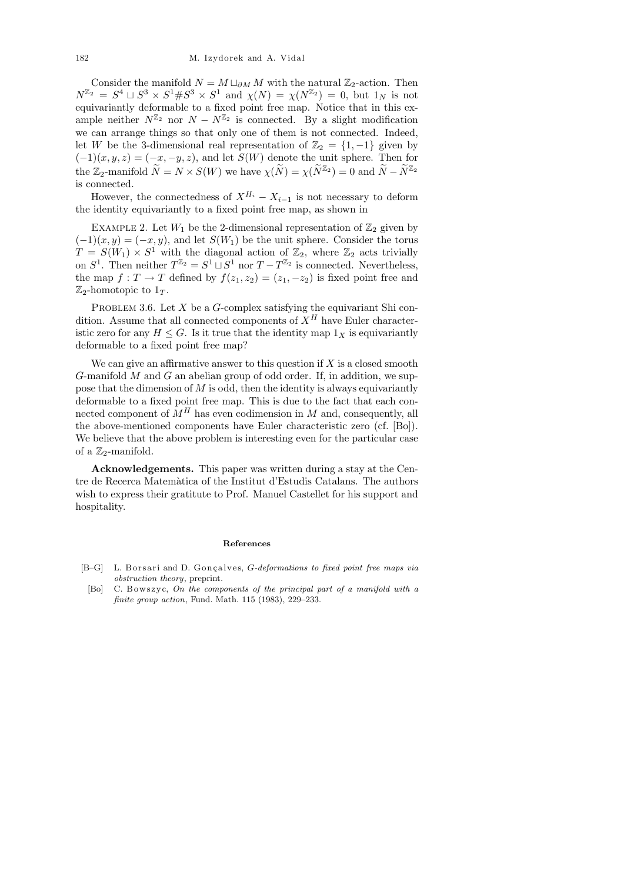Consider the manifold  $N = M \sqcup_{\partial M} M$  with the natural  $\mathbb{Z}_2$ -action. Then  $N^{\mathbb{Z}_2} = S^4 \sqcup S^3 \times S^1 \# S^3 \times S^1$  and  $\chi(N) = \chi(N^{\mathbb{Z}_2}) = 0$ , but  $1_N$  is not equivariantly deformable to a fixed point free map. Notice that in this example neither  $N^{\mathbb{Z}_2}$  nor  $N - N^{\mathbb{Z}_2}$  is connected. By a slight modification we can arrange things so that only one of them is not connected. Indeed, let W be the 3-dimensional real representation of  $\mathbb{Z}_2 = \{1, -1\}$  given by  $(-1)(x, y, z) = (-x, -y, z)$ , and let  $S(W)$  denote the unit sphere. Then for the  $\mathbb{Z}_2$ -manifold  $\widetilde{N} = N \times S(W)$  we have  $\chi(\widetilde{N}) = \chi(\widetilde{N}^{\mathbb{Z}_2}) = 0$  and  $\widetilde{N} - \widetilde{N}^{\mathbb{Z}_2}$ is connected.

However, the connectedness of  $X^{H_i} - X_{i-1}$  is not necessary to deform the identity equivariantly to a fixed point free map, as shown in

EXAMPLE 2. Let  $W_1$  be the 2-dimensional representation of  $\mathbb{Z}_2$  given by  $(-1)(x, y) = (-x, y)$ , and let  $S(W_1)$  be the unit sphere. Consider the torus  $T = S(W_1) \times S^1$  with the diagonal action of  $\mathbb{Z}_2$ , where  $\mathbb{Z}_2$  acts trivially on  $S^1$ . Then neither  $T^{\mathbb{Z}_2} = S^1 \sqcup S^1$  nor  $T - T^{\mathbb{Z}_2}$  is connected. Nevertheless, the map  $f: T \to T$  defined by  $f(z_1, z_2) = (z_1, -z_2)$  is fixed point free and  $\mathbb{Z}_2$ -homotopic to  $1_T$ .

PROBLEM 3.6. Let  $X$  be a  $G$ -complex satisfying the equivariant Shi condition. Assume that all connected components of  $X^H$  have Euler characteristic zero for any  $H \leq G$ . Is it true that the identity map  $1_X$  is equivariantly deformable to a fixed point free map?

We can give an affirmative answer to this question if  $X$  is a closed smooth  $G$ -manifold  $M$  and  $G$  an abelian group of odd order. If, in addition, we suppose that the dimension of  $M$  is odd, then the identity is always equivariantly deformable to a fixed point free map. This is due to the fact that each connected component of  $M<sup>H</sup>$  has even codimension in M and, consequently, all the above-mentioned components have Euler characteristic zero (cf. [Bo]). We believe that the above problem is interesting even for the particular case of a  $\mathbb{Z}_2$ -manifold.

Acknowledgements. This paper was written during a stay at the Centre de Recerca Matem`atica of the Institut d'Estudis Catalans. The authors wish to express their gratitute to Prof. Manuel Castellet for his support and hospitality.

## **References**

- [B–G] L. Borsari and D. Gonçalves, *G*-deformations to fixed point free maps via *obstruction theory*, preprint.
- [Bo] C. Bowszyc, *On the components of the principal part of a manifold with a finite group action*, Fund. Math. 115 (1983), 229–233.